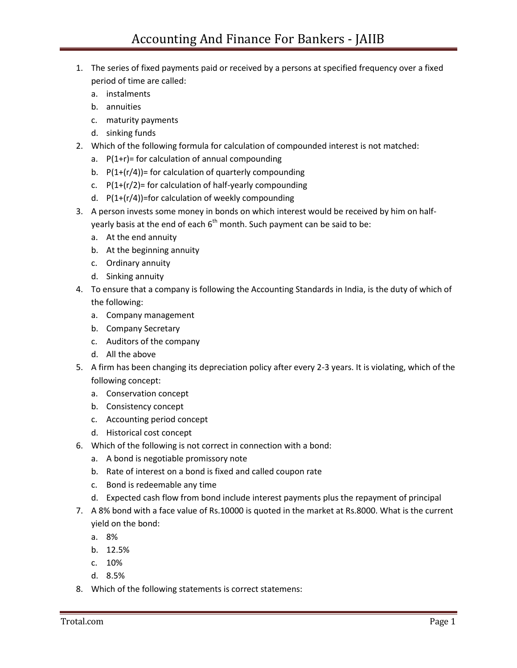- 1. The series of fixed payments paid or received by a persons at specified frequency over a fixed period of time are called:
	- a. instalments
	- b. annuities
	- c. maturity payments
	- d. sinking funds
- 2. Which of the following formula for calculation of compounded interest is not matched:
	- a.  $P(1+r)$ = for calculation of annual compounding
	- b.  $P(1+(r/4))$ = for calculation of quarterly compounding
	- c.  $P(1+(r/2))$ = for calculation of half-yearly compounding
	- d. P(1+(r/4))=for calculation of weekly compounding
- 3. A person invests some money in bonds on which interest would be received by him on halfyearly basis at the end of each  $6<sup>th</sup>$  month. Such payment can be said to be:
	- a. At the end annuity
	- b. At the beginning annuity
	- c. Ordinary annuity
	- d. Sinking annuity
- 4. To ensure that a company is following the Accounting Standards in India, is the duty of which of the following:
	- a. Company management
	- b. Company Secretary
	- c. Auditors of the company
	- d. All the above
- 5. A firm has been changing its depreciation policy after every 2-3 years. It is violating, which of the following concept:
	- a. Conservation concept
	- b. Consistency concept
	- c. Accounting period concept
	- d. Historical cost concept
- 6. Which of the following is not correct in connection with a bond:
	- a. A bond is negotiable promissory note
	- b. Rate of interest on a bond is fixed and called coupon rate
	- c. Bond is redeemable any time
	- d. Expected cash flow from bond include interest payments plus the repayment of principal
- 7. A 8% bond with a face value of Rs.10000 is quoted in the market at Rs.8000. What is the current yield on the bond:
	- a. 8%
	- b. 12.5%
	- c. 10%
	- d. 8.5%
- 8. Which of the following statements is correct statemens: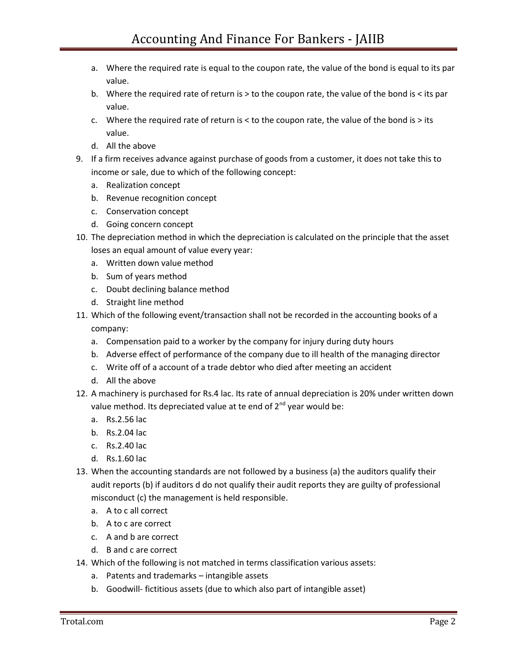- a. Where the required rate is equal to the coupon rate, the value of the bond is equal to its par value.
- b. Where the required rate of return is > to the coupon rate, the value of the bond is < its par value.
- c. Where the required rate of return is  $<$  to the coupon rate, the value of the bond is  $>$  its value.
- d. All the above
- 9. If a firm receives advance against purchase of goods from a customer, it does not take this to income or sale, due to which of the following concept:
	- a. Realization concept
	- b. Revenue recognition concept
	- c. Conservation concept
	- d. Going concern concept
- 10. The depreciation method in which the depreciation is calculated on the principle that the asset loses an equal amount of value every year:
	- a. Written down value method
	- b. Sum of years method
	- c. Doubt declining balance method
	- d. Straight line method
- 11. Which of the following event/transaction shall not be recorded in the accounting books of a company:
	- a. Compensation paid to a worker by the company for injury during duty hours
	- b. Adverse effect of performance of the company due to ill health of the managing director
	- c. Write off of a account of a trade debtor who died after meeting an accident
	- d. All the above
- 12. A machinery is purchased for Rs.4 lac. Its rate of annual depreciation is 20% under written down value method. Its depreciated value at te end of  $2^{nd}$  year would be:
	- a. Rs.2.56 lac
	- b. Rs.2.04 lac
	- c. Rs.2.40 lac
	- d. Rs.1.60 lac
- 13. When the accounting standards are not followed by a business (a) the auditors qualify their audit reports (b) if auditors d do not qualify their audit reports they are guilty of professional misconduct (c) the management is held responsible.
	- a. A to c all correct
	- b. A to c are correct
	- c. A and b are correct
	- d. B and c are correct
- 14. Which of the following is not matched in terms classification various assets:
	- a. Patents and trademarks intangible assets
	- b. Goodwill- fictitious assets (due to which also part of intangible asset)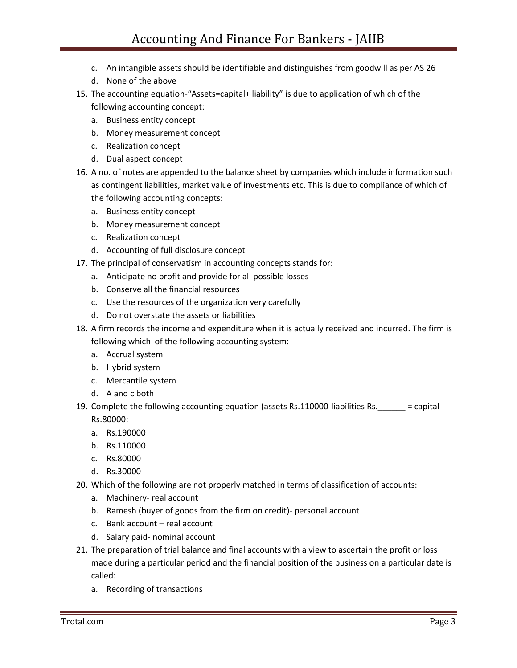- c. An intangible assets should be identifiable and distinguishes from goodwill as per AS 26
- d. None of the above
- 15. The accounting equation-"Assets=capital+ liability" is due to application of which of the following accounting concept:
	- a. Business entity concept
	- b. Money measurement concept
	- c. Realization concept
	- d. Dual aspect concept
- 16. A no. of notes are appended to the balance sheet by companies which include information such as contingent liabilities, market value of investments etc. This is due to compliance of which of the following accounting concepts:
	- a. Business entity concept
	- b. Money measurement concept
	- c. Realization concept
	- d. Accounting of full disclosure concept
- 17. The principal of conservatism in accounting concepts stands for:
	- a. Anticipate no profit and provide for all possible losses
	- b. Conserve all the financial resources
	- c. Use the resources of the organization very carefully
	- d. Do not overstate the assets or liabilities
- 18. A firm records the income and expenditure when it is actually received and incurred. The firm is following which of the following accounting system:
	- a. Accrual system
	- b. Hybrid system
	- c. Mercantile system
	- d. A and c both
- 19. Complete the following accounting equation (assets Rs.110000-liabilities Rs.  $=$  capital Rs.80000:
	- a. Rs.190000
	- b. Rs.110000
	- c. Rs.80000
	- d. Rs.30000
- 20. Which of the following are not properly matched in terms of classification of accounts:
	- a. Machinery- real account
	- b. Ramesh (buyer of goods from the firm on credit)- personal account
	- c. Bank account real account
	- d. Salary paid- nominal account
- 21. The preparation of trial balance and final accounts with a view to ascertain the profit or loss made during a particular period and the financial position of the business on a particular date is called:
	- a. Recording of transactions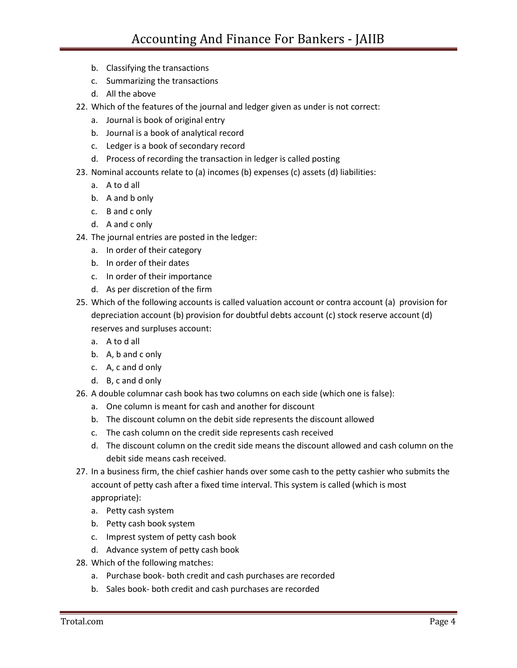- b. Classifying the transactions
- c. Summarizing the transactions
- d. All the above
- 22. Which of the features of the journal and ledger given as under is not correct:
	- a. Journal is book of original entry
	- b. Journal is a book of analytical record
	- c. Ledger is a book of secondary record
	- d. Process of recording the transaction in ledger is called posting
- 23. Nominal accounts relate to (a) incomes (b) expenses (c) assets (d) liabilities:
	- a. A to d all
	- b. A and b only
	- c. B and c only
	- d. A and c only
- 24. The journal entries are posted in the ledger:
	- a. In order of their category
	- b. In order of their dates
	- c. In order of their importance
	- d. As per discretion of the firm
- 25. Which of the following accounts is called valuation account or contra account (a) provision for depreciation account (b) provision for doubtful debts account (c) stock reserve account (d) reserves and surpluses account:
	- a. A to d all
	- b. A, b and c only
	- c. A, c and d only
	- d. B, c and d only
- 26. A double columnar cash book has two columns on each side (which one is false):
	- a. One column is meant for cash and another for discount
	- b. The discount column on the debit side represents the discount allowed
	- c. The cash column on the credit side represents cash received
	- d. The discount column on the credit side means the discount allowed and cash column on the debit side means cash received.
- 27. In a business firm, the chief cashier hands over some cash to the petty cashier who submits the account of petty cash after a fixed time interval. This system is called (which is most appropriate):
	- a. Petty cash system
	- b. Petty cash book system
	- c. Imprest system of petty cash book
	- d. Advance system of petty cash book
- 28. Which of the following matches:
	- a. Purchase book- both credit and cash purchases are recorded
	- b. Sales book- both credit and cash purchases are recorded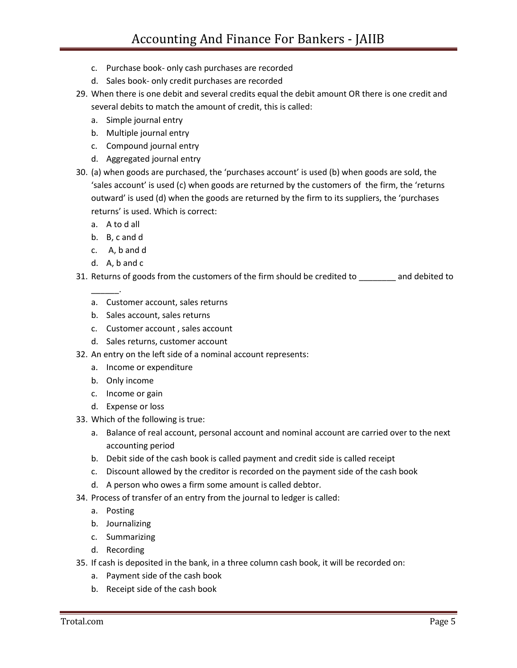- c. Purchase book- only cash purchases are recorded
- d. Sales book- only credit purchases are recorded
- 29. When there is one debit and several credits equal the debit amount OR there is one credit and several debits to match the amount of credit, this is called:
	- a. Simple journal entry
	- b. Multiple journal entry
	- c. Compound journal entry
	- d. Aggregated journal entry
- 30. (a) when goods are purchased, the 'purchases account' is used (b) when goods are sold, the 'sales account' is used (c) when goods are returned by the customers of the firm, the 'returns outward' is used (d) when the goods are returned by the firm to its suppliers, the 'purchases returns' is used. Which is correct:
	- a. A to d all
	- b. B, c and d
	- c. A, b and d
	- d. A, b and c

\_\_\_\_\_\_.

- 31. Returns of goods from the customers of the firm should be credited to \_\_\_\_\_\_\_\_ and debited to
	- a. Customer account, sales returns
	- b. Sales account, sales returns
	- c. Customer account , sales account
	- d. Sales returns, customer account
- 32. An entry on the left side of a nominal account represents:
	- a. Income or expenditure
	- b. Only income
	- c. Income or gain
	- d. Expense or loss
- 33. Which of the following is true:
	- a. Balance of real account, personal account and nominal account are carried over to the next accounting period
	- b. Debit side of the cash book is called payment and credit side is called receipt
	- c. Discount allowed by the creditor is recorded on the payment side of the cash book
	- d. A person who owes a firm some amount is called debtor.
- 34. Process of transfer of an entry from the journal to ledger is called:
	- a. Posting
	- b. Journalizing
	- c. Summarizing
	- d. Recording
- 35. If cash is deposited in the bank, in a three column cash book, it will be recorded on:
	- a. Payment side of the cash book
	- b. Receipt side of the cash book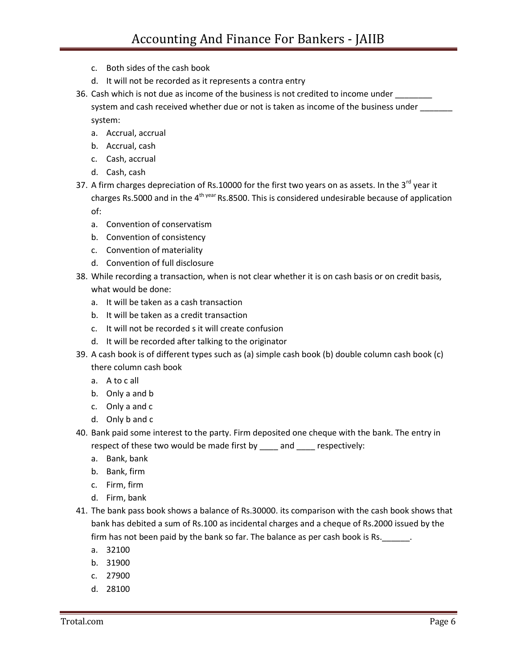- c. Both sides of the cash book
- d. It will not be recorded as it represents a contra entry
- 36. Cash which is not due as income of the business is not credited to income under \_\_\_\_\_\_\_ system and cash received whether due or not is taken as income of the business under

system:

- a. Accrual, accrual
- b. Accrual, cash
- c. Cash, accrual
- d. Cash, cash
- 37. A firm charges depreciation of Rs.10000 for the first two years on as assets. In the  $3^{rd}$  year it charges Rs.5000 and in the  $4^{th}$ <sup>year</sup> Rs.8500. This is considered undesirable because of application of:
	- a. Convention of conservatism
	- b. Convention of consistency
	- c. Convention of materiality
	- d. Convention of full disclosure
- 38. While recording a transaction, when is not clear whether it is on cash basis or on credit basis, what would be done:
	- a. It will be taken as a cash transaction
	- b. It will be taken as a credit transaction
	- c. It will not be recorded s it will create confusion
	- d. It will be recorded after talking to the originator
- 39. A cash book is of different types such as (a) simple cash book (b) double column cash book (c) there column cash book
	- a. A to c all
	- b. Only a and b
	- c. Only a and c
	- d. Only b and c
- 40. Bank paid some interest to the party. Firm deposited one cheque with the bank. The entry in respect of these two would be made first by \_\_\_\_ and \_\_\_\_ respectively:
	- a. Bank, bank
	- b. Bank, firm
	- c. Firm, firm
	- d. Firm, bank
- 41. The bank pass book shows a balance of Rs.30000. its comparison with the cash book shows that bank has debited a sum of Rs.100 as incidental charges and a cheque of Rs.2000 issued by the firm has not been paid by the bank so far. The balance as per cash book is Rs.
	- a. 32100
	- b. 31900
	- c. 27900
	- d. 28100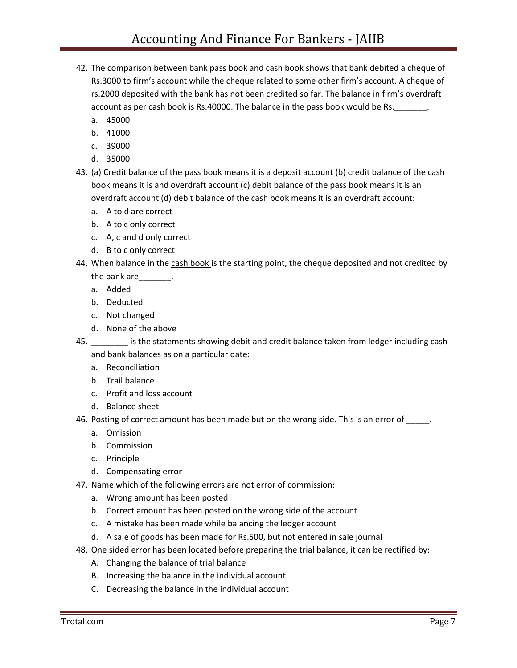- 42. The comparison between bank pass book and cash book shows that bank debited a cheque of Rs.3000 to firm's account while the cheque related to some other firm's account. A cheque of rs.2000 deposited with the bank has not been credited so far. The balance in firm's overdraft account as per cash book is Rs.40000. The balance in the pass book would be Rs.
	- a. 45000
	- b. 41000
	- c. 39000
	- d. 35000
- 43. (a) Credit balance of the pass book means it is a deposit account (b) credit balance of the cash book means it is and overdraft account (c) debit balance of the pass book means it is an overdraft account (d) debit balance of the cash book means it is an overdraft account:
	- a. A to d are correct
	- b. A to c only correct
	- c. A, c and d only correct
	- d. B to c only correct
- 44. When balance in the cash book is the starting point, the cheque deposited and not credited by
	- the bank are\_\_\_\_\_\_\_.
	- a. Added
	- b. Deducted
	- c. Not changed
	- d. None of the above
- 45. \_\_\_\_\_\_\_\_ is the statements showing debit and credit balance taken from ledger including cash and bank balances as on a particular date:
	- a. Reconciliation
	- b. Trail balance
	- c. Profit and loss account
	- d. Balance sheet
- 46. Posting of correct amount has been made but on the wrong side. This is an error of \_\_\_\_\_.
	- a. Omission
	- b. Commission
	- c. Principle
	- d. Compensating error
- 47. Name which of the following errors are not error of commission:
	- a. Wrong amount has been posted
	- b. Correct amount has been posted on the wrong side of the account
	- c. A mistake has been made while balancing the ledger account
	- d. A sale of goods has been made for Rs.500, but not entered in sale journal
- 48. One sided error has been located before preparing the trial balance, it can be rectified by:
	- A. Changing the balance of trial balance
	- B. Increasing the balance in the individual account
	- C. Decreasing the balance in the individual account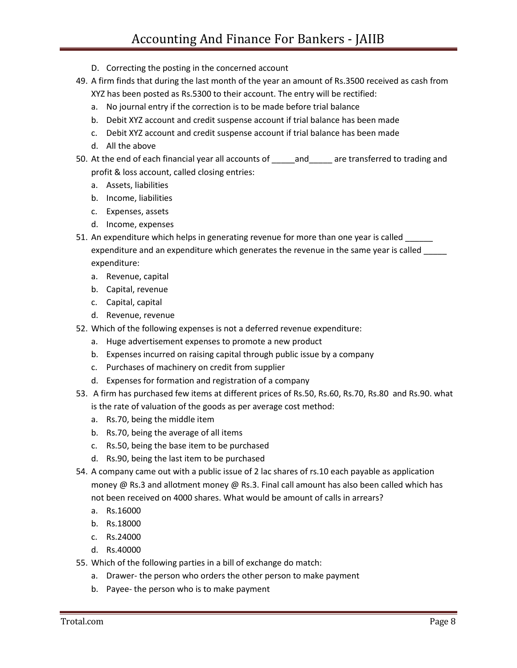- D. Correcting the posting in the concerned account
- 49. A firm finds that during the last month of the year an amount of Rs.3500 received as cash from XYZ has been posted as Rs.5300 to their account. The entry will be rectified:
	- a. No journal entry if the correction is to be made before trial balance
	- b. Debit XYZ account and credit suspense account if trial balance has been made
	- c. Debit XYZ account and credit suspense account if trial balance has been made
	- d. All the above
- 50. At the end of each financial year all accounts of \_\_\_\_\_ and \_\_\_\_\_ are transferred to trading and profit & loss account, called closing entries:
	- a. Assets, liabilities
	- b. Income, liabilities
	- c. Expenses, assets
	- d. Income, expenses
- 51. An expenditure which helps in generating revenue for more than one year is called \_\_\_\_\_\_ expenditure and an expenditure which generates the revenue in the same year is called \_\_\_\_\_ expenditure:
	- a. Revenue, capital
	- b. Capital, revenue
	- c. Capital, capital
	- d. Revenue, revenue
- 52. Which of the following expenses is not a deferred revenue expenditure:
	- a. Huge advertisement expenses to promote a new product
	- b. Expenses incurred on raising capital through public issue by a company
	- c. Purchases of machinery on credit from supplier
	- d. Expenses for formation and registration of a company
- 53. A firm has purchased few items at different prices of Rs.50, Rs.60, Rs.70, Rs.80 and Rs.90. what is the rate of valuation of the goods as per average cost method:
	- a. Rs.70, being the middle item
	- b. Rs.70, being the average of all items
	- c. Rs.50, being the base item to be purchased
	- d. Rs.90, being the last item to be purchased
- 54. A company came out with a public issue of 2 lac shares of rs.10 each payable as application money @ Rs.3 and allotment money @ Rs.3. Final call amount has also been called which has not been received on 4000 shares. What would be amount of calls in arrears?
	- a. Rs.16000
	- b. Rs.18000
	- c. Rs.24000
	- d. Rs.40000
- 55. Which of the following parties in a bill of exchange do match:
	- a. Drawer- the person who orders the other person to make payment
	- b. Payee- the person who is to make payment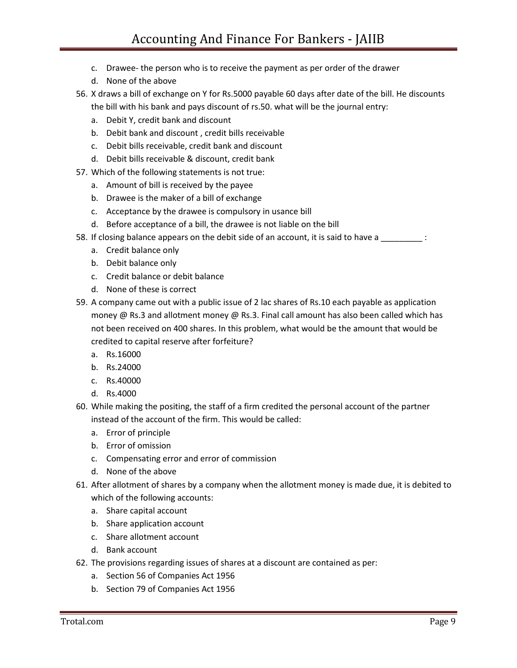- c. Drawee- the person who is to receive the payment as per order of the drawer
- d. None of the above
- 56. X draws a bill of exchange on Y for Rs.5000 payable 60 days after date of the bill. He discounts the bill with his bank and pays discount of rs.50. what will be the journal entry:
	- a. Debit Y, credit bank and discount
	- b. Debit bank and discount , credit bills receivable
	- c. Debit bills receivable, credit bank and discount
	- d. Debit bills receivable & discount, credit bank
- 57. Which of the following statements is not true:
	- a. Amount of bill is received by the payee
	- b. Drawee is the maker of a bill of exchange
	- c. Acceptance by the drawee is compulsory in usance bill
	- d. Before acceptance of a bill, the drawee is not liable on the bill
- 58. If closing balance appears on the debit side of an account, it is said to have a \_\_\_\_\_\_\_\_\_\_\_:
	- a. Credit balance only
	- b. Debit balance only
	- c. Credit balance or debit balance
	- d. None of these is correct
- 59. A company came out with a public issue of 2 lac shares of Rs.10 each payable as application money @ Rs.3 and allotment money @ Rs.3. Final call amount has also been called which has not been received on 400 shares. In this problem, what would be the amount that would be credited to capital reserve after forfeiture?
	- a. Rs.16000
	- b. Rs.24000
	- c. Rs.40000
	- d. Rs.4000
- 60. While making the positing, the staff of a firm credited the personal account of the partner instead of the account of the firm. This would be called:
	- a. Error of principle
	- b. Error of omission
	- c. Compensating error and error of commission
	- d. None of the above
- 61. After allotment of shares by a company when the allotment money is made due, it is debited to which of the following accounts:
	- a. Share capital account
	- b. Share application account
	- c. Share allotment account
	- d. Bank account
- 62. The provisions regarding issues of shares at a discount are contained as per:
	- a. Section 56 of Companies Act 1956
	- b. Section 79 of Companies Act 1956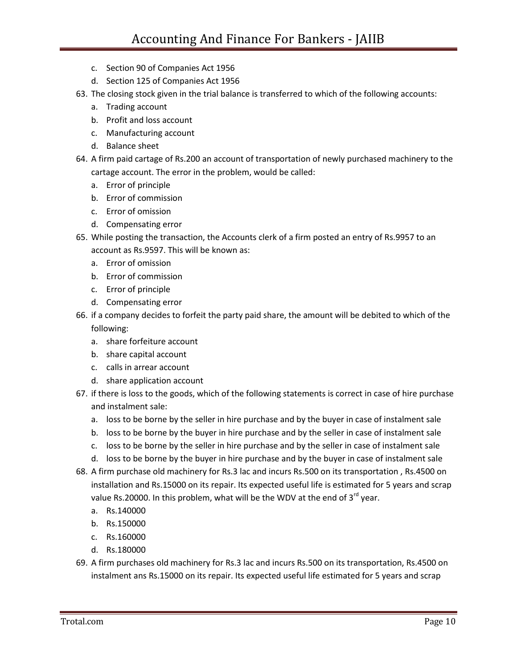- c. Section 90 of Companies Act 1956
- d. Section 125 of Companies Act 1956
- 63. The closing stock given in the trial balance is transferred to which of the following accounts:
	- a. Trading account
	- b. Profit and loss account
	- c. Manufacturing account
	- d. Balance sheet
- 64. A firm paid cartage of Rs.200 an account of transportation of newly purchased machinery to the cartage account. The error in the problem, would be called:
	- a. Error of principle
	- b. Error of commission
	- c. Error of omission
	- d. Compensating error
- 65. While posting the transaction, the Accounts clerk of a firm posted an entry of Rs.9957 to an account as Rs.9597. This will be known as:
	- a. Error of omission
	- b. Error of commission
	- c. Error of principle
	- d. Compensating error
- 66. if a company decides to forfeit the party paid share, the amount will be debited to which of the following:
	- a. share forfeiture account
	- b. share capital account
	- c. calls in arrear account
	- d. share application account
- 67. if there is loss to the goods, which of the following statements is correct in case of hire purchase and instalment sale:
	- a. loss to be borne by the seller in hire purchase and by the buyer in case of instalment sale
	- b. loss to be borne by the buyer in hire purchase and by the seller in case of instalment sale
	- c. loss to be borne by the seller in hire purchase and by the seller in case of instalment sale
	- d. loss to be borne by the buyer in hire purchase and by the buyer in case of instalment sale
- 68. A firm purchase old machinery for Rs.3 lac and incurs Rs.500 on its transportation , Rs.4500 on installation and Rs.15000 on its repair. Its expected useful life is estimated for 5 years and scrap value Rs.20000. In this problem, what will be the WDV at the end of  $3^{rd}$  year.
	- a. Rs.140000
	- b. Rs.150000
	- c. Rs.160000
	- d. Rs.180000
- 69. A firm purchases old machinery for Rs.3 lac and incurs Rs.500 on its transportation, Rs.4500 on instalment ans Rs.15000 on its repair. Its expected useful life estimated for 5 years and scrap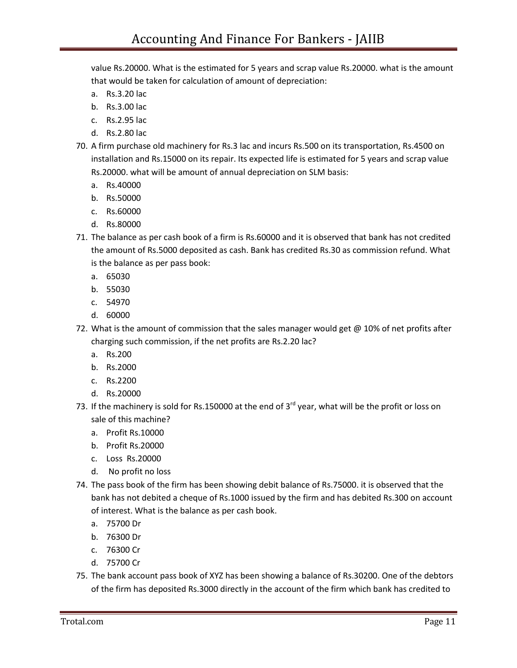value Rs.20000. What is the estimated for 5 years and scrap value Rs.20000. what is the amount that would be taken for calculation of amount of depreciation:

- a. Rs.3.20 lac
- b. Rs.3.00 lac
- c. Rs.2.95 lac
- d. Rs.2.80 lac
- 70. A firm purchase old machinery for Rs.3 lac and incurs Rs.500 on its transportation, Rs.4500 on installation and Rs.15000 on its repair. Its expected life is estimated for 5 years and scrap value Rs.20000. what will be amount of annual depreciation on SLM basis:
	- a. Rs.40000
	- b. Rs.50000
	- c. Rs.60000
	- d. Rs.80000
- 71. The balance as per cash book of a firm is Rs.60000 and it is observed that bank has not credited the amount of Rs.5000 deposited as cash. Bank has credited Rs.30 as commission refund. What is the balance as per pass book:
	- a. 65030
	- b. 55030
	- c. 54970
	- d. 60000
- 72. What is the amount of commission that the sales manager would get  $@10%$  of net profits after charging such commission, if the net profits are Rs.2.20 lac?
	- a. Rs.200
	- b. Rs.2000
	- c. Rs.2200
	- d. Rs.20000
- 73. If the machinery is sold for Rs.150000 at the end of  $3^{rd}$  year, what will be the profit or loss on sale of this machine?
	- a. Profit Rs.10000
	- b. Profit Rs.20000
	- c. Loss Rs.20000
	- d. No profit no loss
- 74. The pass book of the firm has been showing debit balance of Rs.75000. it is observed that the bank has not debited a cheque of Rs.1000 issued by the firm and has debited Rs.300 on account of interest. What is the balance as per cash book.
	- a. 75700 Dr
	- b. 76300 Dr
	- c. 76300 Cr
	- d. 75700 Cr
- 75. The bank account pass book of XYZ has been showing a balance of Rs.30200. One of the debtors of the firm has deposited Rs.3000 directly in the account of the firm which bank has credited to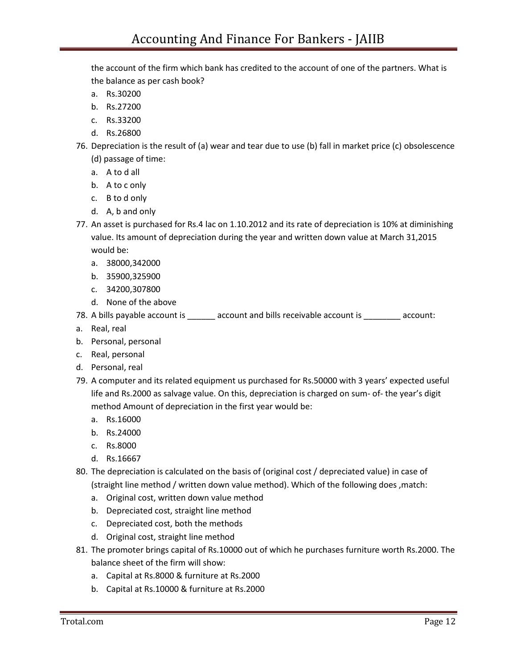the account of the firm which bank has credited to the account of one of the partners. What is the balance as per cash book?

- a. Rs.30200
- b. Rs.27200
- c. Rs.33200
- d. Rs.26800
- 76. Depreciation is the result of (a) wear and tear due to use (b) fall in market price (c) obsolescence (d) passage of time:
	- a. A to d all
	- b. A to c only
	- c. B to d only
	- d. A, b and only
- 77. An asset is purchased for Rs.4 lac on 1.10.2012 and its rate of depreciation is 10% at diminishing value. Its amount of depreciation during the year and written down value at March 31,2015 would be:
	- a. 38000,342000
	- b. 35900,325900
	- c. 34200,307800
	- d. None of the above
- 78. A bills payable account is exerceivable account is account:
- a. Real, real
- b. Personal, personal
- c. Real, personal
- d. Personal, real
- 79. A computer and its related equipment us purchased for Rs.50000 with 3 years' expected useful life and Rs.2000 as salvage value. On this, depreciation is charged on sum- of- the year's digit method Amount of depreciation in the first year would be:
	- a. Rs.16000
	- b. Rs.24000
	- c. Rs.8000
	- d. Rs.16667
- 80. The depreciation is calculated on the basis of (original cost / depreciated value) in case of (straight line method / written down value method). Which of the following does ,match:
	- a. Original cost, written down value method
	- b. Depreciated cost, straight line method
	- c. Depreciated cost, both the methods
	- d. Original cost, straight line method
- 81. The promoter brings capital of Rs.10000 out of which he purchases furniture worth Rs.2000. The balance sheet of the firm will show:
	- a. Capital at Rs.8000 & furniture at Rs.2000
	- b. Capital at Rs.10000 & furniture at Rs.2000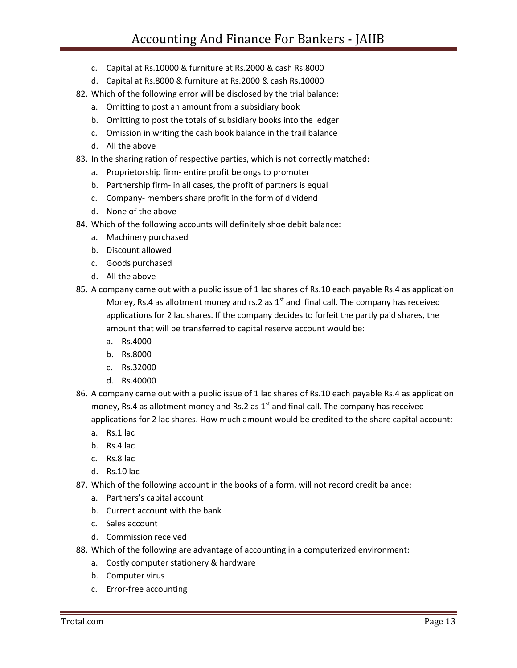- c. Capital at Rs.10000 & furniture at Rs.2000 & cash Rs.8000
- d. Capital at Rs.8000 & furniture at Rs.2000 & cash Rs.10000
- 82. Which of the following error will be disclosed by the trial balance:
	- a. Omitting to post an amount from a subsidiary book
	- b. Omitting to post the totals of subsidiary books into the ledger
	- c. Omission in writing the cash book balance in the trail balance
	- d. All the above
- 83. In the sharing ration of respective parties, which is not correctly matched:
	- a. Proprietorship firm- entire profit belongs to promoter
	- b. Partnership firm- in all cases, the profit of partners is equal
	- c. Company- members share profit in the form of dividend
	- d. None of the above
- 84. Which of the following accounts will definitely shoe debit balance:
	- a. Machinery purchased
	- b. Discount allowed
	- c. Goods purchased
	- d. All the above
- 85. A company came out with a public issue of 1 lac shares of Rs.10 each payable Rs.4 as application Money, Rs.4 as allotment money and rs.2 as  $1<sup>st</sup>$  and final call. The company has received applications for 2 lac shares. If the company decides to forfeit the partly paid shares, the amount that will be transferred to capital reserve account would be:
	- a. Rs.4000
	- b. Rs.8000
	- c. Rs.32000
	- d. Rs.40000
- 86. A company came out with a public issue of 1 lac shares of Rs.10 each payable Rs.4 as application money, Rs.4 as allotment money and Rs.2 as  $1<sup>st</sup>$  and final call. The company has received applications for 2 lac shares. How much amount would be credited to the share capital account:
	- a. Rs.1 lac
	- b. Rs.4 lac
	- c. Rs.8 lac
	- d. Rs.10 lac
- 87. Which of the following account in the books of a form, will not record credit balance:
	- a. Partners's capital account
	- b. Current account with the bank
	- c. Sales account
	- d. Commission received
- 88. Which of the following are advantage of accounting in a computerized environment:
	- a. Costly computer stationery & hardware
	- b. Computer virus
	- c. Error-free accounting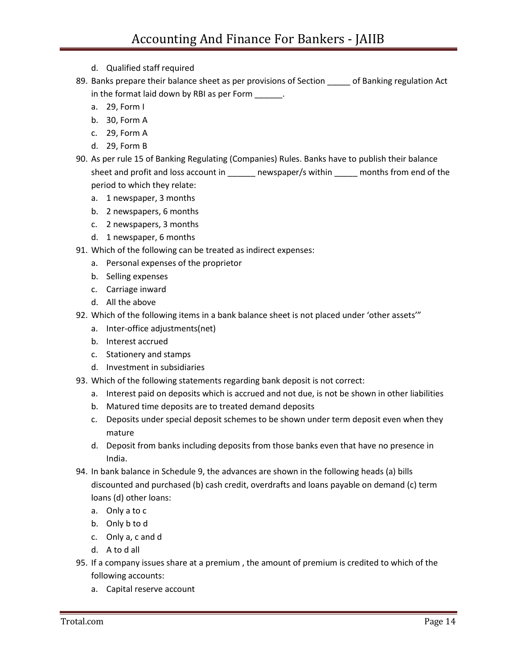- d. Qualified staff required
- 89. Banks prepare their balance sheet as per provisions of Section \_\_\_\_\_ of Banking regulation Act in the format laid down by RBI as per Form \_\_\_\_\_\_.
	- a. 29, Form I
	- b. 30, Form A
	- c. 29, Form A
	- d. 29, Form B
- 90. As per rule 15 of Banking Regulating (Companies) Rules. Banks have to publish their balance sheet and profit and loss account in \_\_\_\_\_\_ newspaper/s within \_\_\_\_\_ months from end of the period to which they relate:
	- a. 1 newspaper, 3 months
	- b. 2 newspapers, 6 months
	- c. 2 newspapers, 3 months
	- d. 1 newspaper, 6 months
- 91. Which of the following can be treated as indirect expenses:
	- a. Personal expenses of the proprietor
	- b. Selling expenses
	- c. Carriage inward
	- d. All the above
- 92. Which of the following items in a bank balance sheet is not placed under 'other assets'"
	- a. Inter-office adjustments(net)
	- b. Interest accrued
	- c. Stationery and stamps
	- d. Investment in subsidiaries
- 93. Which of the following statements regarding bank deposit is not correct:
	- a. Interest paid on deposits which is accrued and not due, is not be shown in other liabilities
	- b. Matured time deposits are to treated demand deposits
	- c. Deposits under special deposit schemes to be shown under term deposit even when they mature
	- d. Deposit from banks including deposits from those banks even that have no presence in India.
- 94. In bank balance in Schedule 9, the advances are shown in the following heads (a) bills discounted and purchased (b) cash credit, overdrafts and loans payable on demand (c) term loans (d) other loans:
	- a. Only a to c
	- b. Only b to d
	- c. Only a, c and d
	- d. A to d all
- 95. If a company issues share at a premium , the amount of premium is credited to which of the following accounts:
	- a. Capital reserve account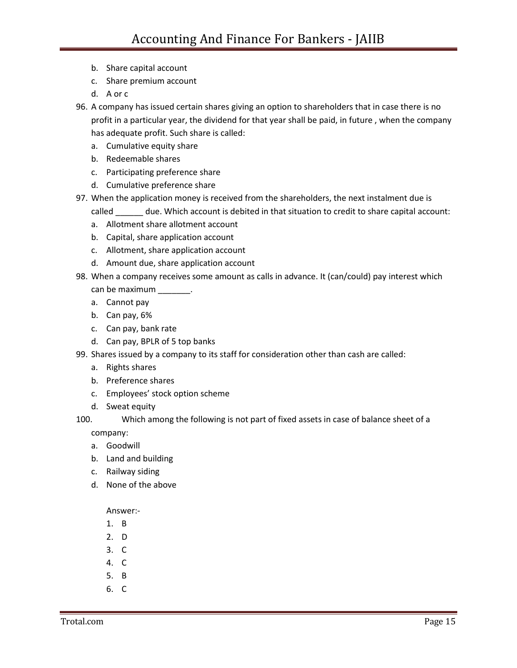- b. Share capital account
- c. Share premium account
- d. A or c
- 96. A company has issued certain shares giving an option to shareholders that in case there is no profit in a particular year, the dividend for that year shall be paid, in future , when the company has adequate profit. Such share is called:
	- a. Cumulative equity share
	- b. Redeemable shares
	- c. Participating preference share
	- d. Cumulative preference share
- 97. When the application money is received from the shareholders, the next instalment due is called \_\_\_\_\_\_ due. Which account is debited in that situation to credit to share capital account:
	- a. Allotment share allotment account
	- b. Capital, share application account
	- c. Allotment, share application account
	- d. Amount due, share application account
- 98. When a company receives some amount as calls in advance. It (can/could) pay interest which
	- can be maximum \_\_\_\_\_\_\_\_.
	- a. Cannot pay
	- b. Can pay, 6%
	- c. Can pay, bank rate
	- d. Can pay, BPLR of 5 top banks
- 99. Shares issued by a company to its staff for consideration other than cash are called:
	- a. Rights shares
	- b. Preference shares
	- c. Employees' stock option scheme
	- d. Sweat equity
- 100. Which among the following is not part of fixed assets in case of balance sheet of a company:
	- a. Goodwill
	- b. Land and building
	- c. Railway siding
	- d. None of the above

Answer:-

- 1. B
- 2. D
- 3. C
- 4. C
- 5. B
- 6. C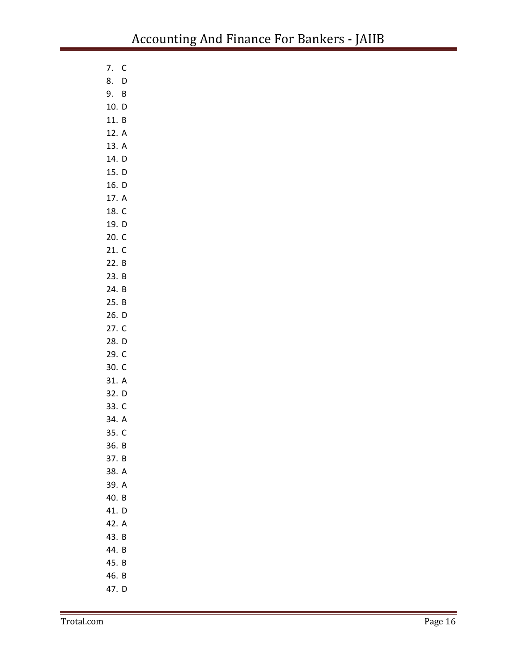- 7. C
- 8. D 9. B
- 10. D
- 11. B
- 12. A
- 13. A
- 14. D
- 15. D
- 16. D
- 17. A
- 18. C 19. D
- 20. C
- 21. C
- 22. B
- 23. B
- 24. B
- 25. B
- 26. D
- 27. C 28. D
- 29. C
- 30. C
- 31. A
- 32. D
- 33. C
- 34. A 35. C
- 36. B
- 37. B
- 38. A
- 39. A
- 40. B
- 41. D
- 42. A
- 43. B
- 44. B
- 45. B
- 46. B
- 47. D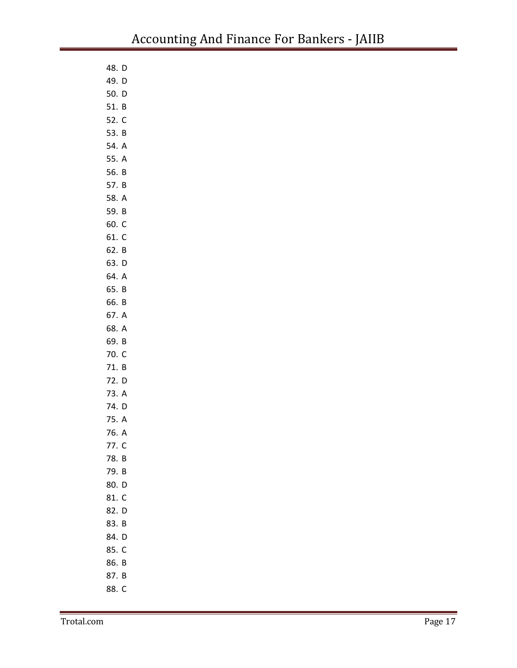| 48. D |   |
|-------|---|
| 49. D |   |
| 50. D |   |
| 51. B |   |
| 52. C |   |
| 53. B |   |
| 54. A |   |
| 55. A |   |
| 56. B |   |
| 57. B |   |
| 58. A |   |
| 59. B |   |
| 60. C |   |
| 61. C |   |
| 62. B |   |
| 63. D |   |
| 64. A |   |
| 65. B |   |
| 66. B |   |
| 67. A |   |
| 68. A |   |
| 69. B |   |
| 70. C |   |
| 71. B |   |
| 72. D |   |
| 73. A |   |
| 74. D |   |
| 75. A |   |
| 76. A |   |
| 77.   | C |
| 78. B |   |
| 79. B |   |
| 80. D |   |
| 81. C |   |
| 82. D |   |
| 83. B |   |
| 84. D |   |
| 85. C |   |
| 86. B |   |
| 87. B |   |
| 88. C |   |